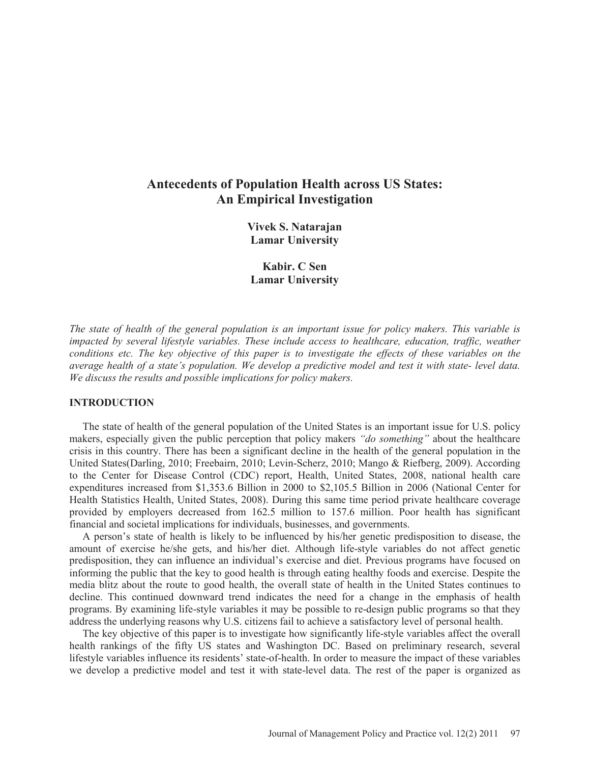# **Antecedents of Population Health across US States: An Empirical Investigation**

**Vivek S. Natarajan Lamar University** 

**Kabir. C Sen Lamar University** 

*The state of health of the general population is an important issue for policy makers. This variable is impacted by several lifestyle variables. These include access to healthcare, education, traffic, weather conditions etc. The key objective of this paper is to investigate the effects of these variables on the average health of a state's population. We develop a predictive model and test it with state- level data. We discuss the results and possible implications for policy makers.* 

# **INTRODUCTION**

 The state of health of the general population of the United States is an important issue for U.S. policy makers, especially given the public perception that policy makers *"do something"* about the healthcare crisis in this country. There has been a significant decline in the health of the general population in the United States(Darling, 2010; Freebairn, 2010; Levin-Scherz, 2010; Mango & Riefberg, 2009). According to the Center for Disease Control (CDC) report, Health, United States, 2008, national health care expenditures increased from \$1,353.6 Billion in 2000 to \$2,105.5 Billion in 2006 (National Center for Health Statistics Health, United States, 2008). During this same time period private healthcare coverage provided by employers decreased from 162.5 million to 157.6 million. Poor health has significant financial and societal implications for individuals, businesses, and governments.

 A person's state of health is likely to be influenced by his/her genetic predisposition to disease, the amount of exercise he/she gets, and his/her diet. Although life-style variables do not affect genetic predisposition, they can influence an individual's exercise and diet. Previous programs have focused on informing the public that the key to good health is through eating healthy foods and exercise. Despite the media blitz about the route to good health, the overall state of health in the United States continues to decline. This continued downward trend indicates the need for a change in the emphasis of health programs. By examining life-style variables it may be possible to re-design public programs so that they address the underlying reasons why U.S. citizens fail to achieve a satisfactory level of personal health.

 The key objective of this paper is to investigate how significantly life-style variables affect the overall health rankings of the fifty US states and Washington DC. Based on preliminary research, several lifestyle variables influence its residents' state-of-health. In order to measure the impact of these variables we develop a predictive model and test it with state-level data. The rest of the paper is organized as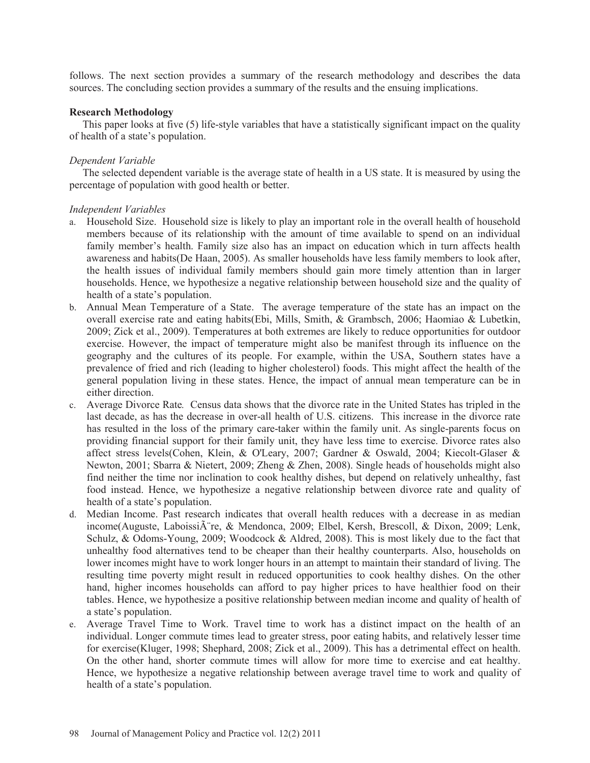follows. The next section provides a summary of the research methodology and describes the data sources. The concluding section provides a summary of the results and the ensuing implications.

# **Research Methodology**

 This paper looks at five (5) life-style variables that have a statistically significant impact on the quality of health of a state's population.

# *Dependent Variable*

 The selected dependent variable is the average state of health in a US state. It is measured by using the percentage of population with good health or better.

# *Independent Variables*

- a. Household Size. Household size is likely to play an important role in the overall health of household members because of its relationship with the amount of time available to spend on an individual family member's health. Family size also has an impact on education which in turn affects health awareness and habits(De Haan, 2005). As smaller households have less family members to look after, the health issues of individual family members should gain more timely attention than in larger households. Hence, we hypothesize a negative relationship between household size and the quality of health of a state's population.
- b. Annual Mean Temperature of a State. The average temperature of the state has an impact on the overall exercise rate and eating habits(Ebi, Mills, Smith, & Grambsch, 2006; Haomiao & Lubetkin, 2009; Zick et al., 2009). Temperatures at both extremes are likely to reduce opportunities for outdoor exercise. However, the impact of temperature might also be manifest through its influence on the geography and the cultures of its people. For example, within the USA, Southern states have a prevalence of fried and rich (leading to higher cholesterol) foods. This might affect the health of the general population living in these states. Hence, the impact of annual mean temperature can be in either direction.
- c. Average Divorce Rate*.* Census data shows that the divorce rate in the United States has tripled in the last decade, as has the decrease in over-all health of U.S. citizens. This increase in the divorce rate has resulted in the loss of the primary care-taker within the family unit. As single-parents focus on providing financial support for their family unit, they have less time to exercise. Divorce rates also affect stress levels(Cohen, Klein, & O'Leary, 2007; Gardner & Oswald, 2004; Kiecolt-Glaser & Newton, 2001; Sbarra & Nietert, 2009; Zheng & Zhen, 2008). Single heads of households might also find neither the time nor inclination to cook healthy dishes, but depend on relatively unhealthy, fast food instead. Hence, we hypothesize a negative relationship between divorce rate and quality of health of a state's population.
- d. Median Income. Past research indicates that overall health reduces with a decrease in as median income(Auguste, Laboissi re, & Mendonca, 2009; Elbel, Kersh, Brescoll, & Dixon, 2009; Lenk, Schulz, & Odoms-Young, 2009; Woodcock & Aldred, 2008). This is most likely due to the fact that unhealthy food alternatives tend to be cheaper than their healthy counterparts. Also, households on lower incomes might have to work longer hours in an attempt to maintain their standard of living. The resulting time poverty might result in reduced opportunities to cook healthy dishes. On the other hand, higher incomes households can afford to pay higher prices to have healthier food on their tables. Hence, we hypothesize a positive relationship between median income and quality of health of a state's population.
- e. Average Travel Time to Work. Travel time to work has a distinct impact on the health of an individual. Longer commute times lead to greater stress, poor eating habits, and relatively lesser time for exercise(Kluger, 1998; Shephard, 2008; Zick et al., 2009). This has a detrimental effect on health. On the other hand, shorter commute times will allow for more time to exercise and eat healthy. Hence, we hypothesize a negative relationship between average travel time to work and quality of health of a state's population.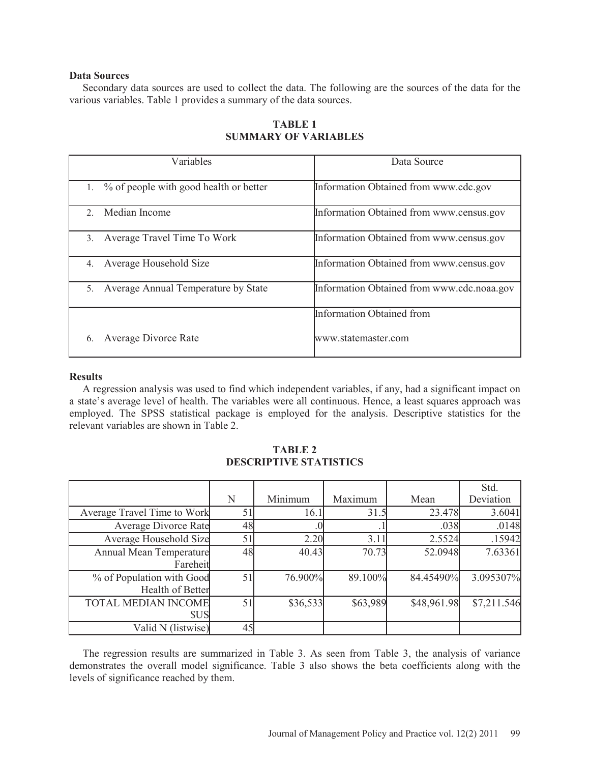# **Data Sources**

 Secondary data sources are used to collect the data. The following are the sources of the data for the various variables. Table 1 provides a summary of the data sources.

| Variables                                 | Data Source                                |  |  |
|-------------------------------------------|--------------------------------------------|--|--|
| 1. % of people with good health or better | Information Obtained from www.cdc.gov      |  |  |
| Median Income<br>2                        | Information Obtained from www.census.gov   |  |  |
| Average Travel Time To Work<br>3.         | Information Obtained from www.census.gov   |  |  |
| Average Household Size<br>4.              | Information Obtained from www.census.gov   |  |  |
| 5. Average Annual Temperature by State    | Information Obtained from www.cdc.noaa.gov |  |  |
|                                           | <b>Information Obtained from</b>           |  |  |
| Average Divorce Rate<br>6.                | www.statemaster.com                        |  |  |

# **TABLE 1 SUMMARY OF VARIABLES**

#### **Results**

 A regression analysis was used to find which independent variables, if any, had a significant impact on a state's average level of health. The variables were all continuous. Hence, a least squares approach was employed. The SPSS statistical package is employed for the analysis. Descriptive statistics for the relevant variables are shown in Table 2.

|                                               | N  | Minimum  | Maximum  | Mean        | Std.<br>Deviation |
|-----------------------------------------------|----|----------|----------|-------------|-------------------|
| Average Travel Time to Work                   |    | 16.1     | 31.5     | 23.478      | 3.6041            |
| Average Divorce Rate                          | 48 |          |          | .038        | .0148             |
| Average Household Size                        | 51 | 2.20     | 3.11     | 2.5524      | .15942            |
| Annual Mean Temperature<br>Fareheit           | 48 | 40.43    | 70.73    | 52.0948     | 7.63361           |
| % of Population with Good<br>Health of Better | 51 | 76.900%  | 89.100%  | 84.45490%   | 3.095307%         |
| <b>TOTAL MEDIAN INCOME</b><br><b>SUS</b>      | 51 | \$36,533 | \$63,989 | \$48,961.98 | \$7,211.546       |
| Valid N (listwise)                            | 45 |          |          |             |                   |

# **TABLE 2 DESCRIPTIVE STATISTICS**

 The regression results are summarized in Table 3. As seen from Table 3, the analysis of variance demonstrates the overall model significance. Table 3 also shows the beta coefficients along with the levels of significance reached by them.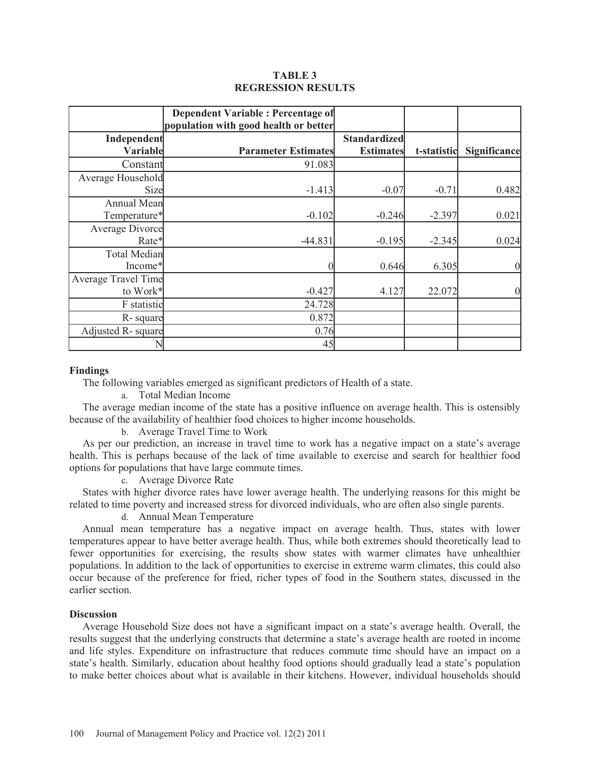# **TABLE 3 REGRESSION RESULTS**

|                            | <b>Dependent Variable: Percentage of</b><br>population with good health or better |                     |             |                  |
|----------------------------|-----------------------------------------------------------------------------------|---------------------|-------------|------------------|
| Independent                |                                                                                   | <b>Standardized</b> |             |                  |
| Variable                   | <b>Parameter Estimates</b>                                                        | <b>Estimates</b>    | t-statistic | Significance     |
| Constant                   | 91.083                                                                            |                     |             |                  |
| Average Household          |                                                                                   |                     |             |                  |
| Size                       | $-1.413$                                                                          | $-0.07$             | $-0.71$     | 0.482            |
| Annual Mean                |                                                                                   |                     |             |                  |
| Temperature*               | $-0.102$                                                                          | $-0.246$            | $-2.397$    | 0.021            |
| Average Divorce            |                                                                                   |                     |             |                  |
| Rate*                      | $-44.831$                                                                         | $-0.195$            | $-2.345$    | 0.024            |
| <b>Total Median</b>        |                                                                                   |                     |             |                  |
| Income*                    |                                                                                   | 0.646               | 6.305       | $\boldsymbol{0}$ |
| <b>Average Travel Time</b> |                                                                                   |                     |             |                  |
| to Work*                   | $-0.427$                                                                          | 4.127               | 22.072      | $\boldsymbol{0}$ |
| F statistic                | 24.728                                                                            |                     |             |                  |
| R-square                   | 0.872                                                                             |                     |             |                  |
| Adjusted R-square          | 0.76                                                                              |                     |             |                  |
|                            | 45                                                                                |                     |             |                  |

#### **Findings**

The following variables emerged as significant predictors of Health of a state.

a. Total Median Income

 The average median income of the state has a positive influence on average health. This is ostensibly because of the availability of healthier food choices to higher income households.

b. Average Travel Time to Work

 As per our prediction, an increase in travel time to work has a negative impact on a state's average health. This is perhaps because of the lack of time available to exercise and search for healthier food options for populations that have large commute times.

c. Average Divorce Rate

 States with higher divorce rates have lower average health. The underlying reasons for this might be related to time poverty and increased stress for divorced individuals, who are often also single parents.

d. Annual Mean Temperature

 Annual mean temperature has a negative impact on average health. Thus, states with lower temperatures appear to have better average health. Thus, while both extremes should theoretically lead to fewer opportunities for exercising, the results show states with warmer climates have unhealthier populations. In addition to the lack of opportunities to exercise in extreme warm climates, this could also occur because of the preference for fried, richer types of food in the Southern states, discussed in the earlier section.

# **Discussion**

 Average Household Size does not have a significant impact on a state's average health. Overall, the results suggest that the underlying constructs that determine a state's average health are rooted in income and life styles. Expenditure on infrastructure that reduces commute time should have an impact on a state's health. Similarly, education about healthy food options should gradually lead a state's population to make better choices about what is available in their kitchens. However, individual households should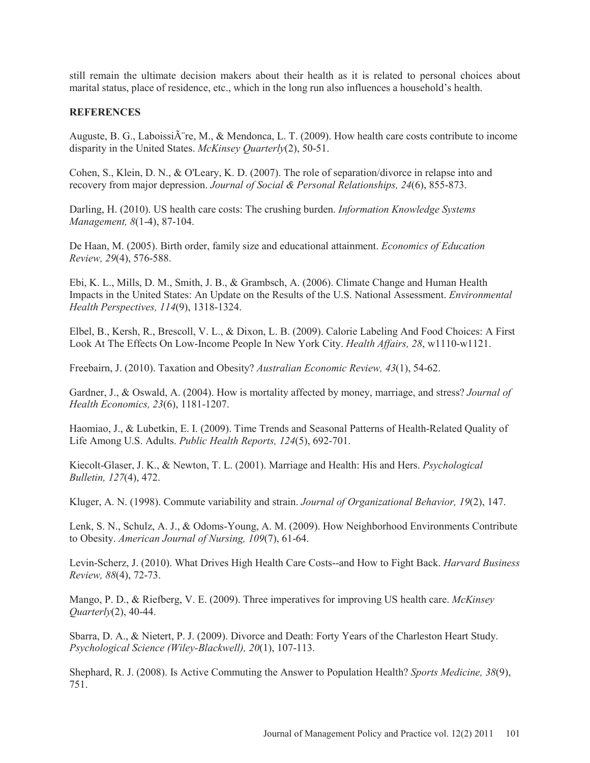still remain the ultimate decision makers about their health as it is related to personal choices about marital status, place of residence, etc., which in the long run also influences a household's health.

# **REFERENCES**

Auguste, B. G., Laboissi $\hat{A}$  re, M., & Mendonca, L. T. (2009). How health care costs contribute to income disparity in the United States. *McKinsey Quarterly*(2), 50-51.

Cohen, S., Klein, D. N., & O'Leary, K. D. (2007). The role of separation/divorce in relapse into and recovery from major depression. *Journal of Social & Personal Relationships, 24*(6), 855-873.

Darling, H. (2010). US health care costs: The crushing burden. *Information Knowledge Systems Management, 8*(1-4), 87-104.

De Haan, M. (2005). Birth order, family size and educational attainment. *Economics of Education Review, 29*(4), 576-588.

Ebi, K. L., Mills, D. M., Smith, J. B., & Grambsch, A. (2006). Climate Change and Human Health Impacts in the United States: An Update on the Results of the U.S. National Assessment. *Environmental Health Perspectives, 114*(9), 1318-1324.

Elbel, B., Kersh, R., Brescoll, V. L., & Dixon, L. B. (2009). Calorie Labeling And Food Choices: A First Look At The Effects On Low-Income People In New York City. *Health Affairs, 28*, w1110-w1121.

Freebairn, J. (2010). Taxation and Obesity? *Australian Economic Review, 43*(1), 54-62.

Gardner, J., & Oswald, A. (2004). How is mortality affected by money, marriage, and stress? *Journal of Health Economics, 23*(6), 1181-1207.

Haomiao, J., & Lubetkin, E. I. (2009). Time Trends and Seasonal Patterns of Health-Related Quality of Life Among U.S. Adults. *Public Health Reports, 124*(5), 692-701.

Kiecolt-Glaser, J. K., & Newton, T. L. (2001). Marriage and Health: His and Hers. *Psychological Bulletin, 127*(4), 472.

Kluger, A. N. (1998). Commute variability and strain. *Journal of Organizational Behavior, 19*(2), 147.

Lenk, S. N., Schulz, A. J., & Odoms-Young, A. M. (2009). How Neighborhood Environments Contribute to Obesity. *American Journal of Nursing, 109*(7), 61-64.

Levin-Scherz, J. (2010). What Drives High Health Care Costs--and How to Fight Back. *Harvard Business Review, 88*(4), 72-73.

Mango, P. D., & Riefberg, V. E. (2009). Three imperatives for improving US health care. *McKinsey Quarterly*(2), 40-44.

Sbarra, D. A., & Nietert, P. J. (2009). Divorce and Death: Forty Years of the Charleston Heart Study. *Psychological Science (Wiley-Blackwell), 20*(1), 107-113.

Shephard, R. J. (2008). Is Active Commuting the Answer to Population Health? *Sports Medicine, 38*(9), 751.